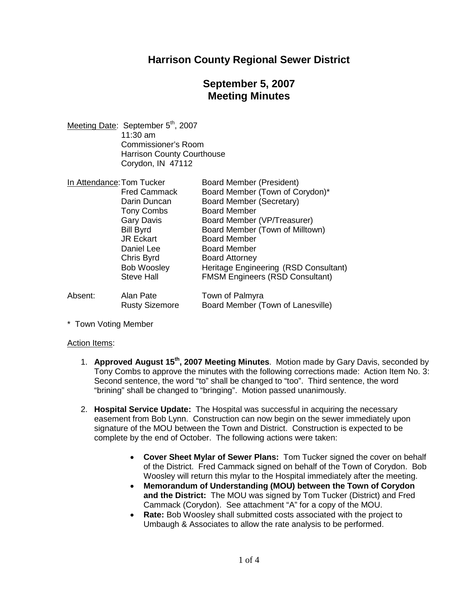### **Harrison County Regional Sewer District**

# **September 5, 2007 Meeting Minutes**

Meeting Date: September 5<sup>th</sup>, 2007 11:30 am Commissioner's Room Harrison County Courthouse Corydon, IN 47112

| In Attendance: Tom Tucker |                       | <b>Board Member (President)</b>        |
|---------------------------|-----------------------|----------------------------------------|
|                           | <b>Fred Cammack</b>   | Board Member (Town of Corydon)*        |
|                           | Darin Duncan          | <b>Board Member (Secretary)</b>        |
|                           | <b>Tony Combs</b>     | <b>Board Member</b>                    |
|                           | <b>Gary Davis</b>     | Board Member (VP/Treasurer)            |
|                           | <b>Bill Byrd</b>      | Board Member (Town of Milltown)        |
|                           | <b>JR Eckart</b>      | <b>Board Member</b>                    |
|                           | Daniel Lee            | <b>Board Member</b>                    |
|                           | Chris Byrd            | <b>Board Attorney</b>                  |
|                           | <b>Bob Woosley</b>    | Heritage Engineering (RSD Consultant)  |
|                           | <b>Steve Hall</b>     | <b>FMSM Engineers (RSD Consultant)</b> |
| Absent:                   | Alan Pate             | Town of Palmyra                        |
|                           | <b>Rusty Sizemore</b> | Board Member (Town of Lanesville)      |

\* Town Voting Member

#### Action Items:

- 1. **Approved August 15th , 2007 Meeting Minutes**. Motion made by Gary Davis, seconded by Tony Combs to approve the minutes with the following corrections made: Action Item No. 3: Second sentence, the word "to" shall be changed to "too". Third sentence, the word "brining" shall be changed to "bringing". Motion passed unanimously.
- 2. **Hospital Service Update:** The Hospital was successful in acquiring the necessary easement from Bob Lynn. Construction can now begin on the sewer immediately upon signature of the MOU between the Town and District. Construction is expected to be complete by the end of October. The following actions were taken:
	- **Cover Sheet Mylar of Sewer Plans:** Tom Tucker signed the cover on behalf of the District. Fred Cammack signed on behalf of the Town of Corydon. Bob Woosley will return this mylar to the Hospital immediately after the meeting.
	- **Memorandum of Understanding (MOU) between the Town of Corydon and the District:** The MOU was signed by Tom Tucker (District) and Fred Cammack (Corydon). See attachment "A" for a copy of the MOU.
	- **Rate:** Bob Woosley shall submitted costs associated with the project to Umbaugh & Associates to allow the rate analysis to be performed.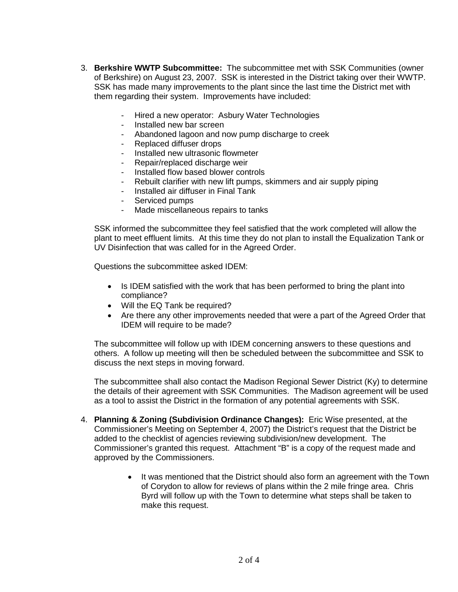- 3. **Berkshire WWTP Subcommittee:** The subcommittee met with SSK Communities (owner of Berkshire) on August 23, 2007. SSK is interested in the District taking over their WWTP. SSK has made many improvements to the plant since the last time the District met with them regarding their system. Improvements have included:
	- Hired a new operator: Asbury Water Technologies
	- Installed new bar screen
	- Abandoned lagoon and now pump discharge to creek
	- Replaced diffuser drops
	- Installed new ultrasonic flowmeter
	- Repair/replaced discharge weir
	- Installed flow based blower controls
	- Rebuilt clarifier with new lift pumps, skimmers and air supply piping
	- Installed air diffuser in Final Tank
	- Serviced pumps
	- Made miscellaneous repairs to tanks

SSK informed the subcommittee they feel satisfied that the work completed will allow the plant to meet effluent limits. At this time they do not plan to install the Equalization Tank or UV Disinfection that was called for in the Agreed Order.

Questions the subcommittee asked IDEM:

- Is IDEM satisfied with the work that has been performed to bring the plant into compliance?
- Will the EQ Tank be required?
- Are there any other improvements needed that were a part of the Agreed Order that IDEM will require to be made?

The subcommittee will follow up with IDEM concerning answers to these questions and others. A follow up meeting will then be scheduled between the subcommittee and SSK to discuss the next steps in moving forward.

The subcommittee shall also contact the Madison Regional Sewer District (Ky) to determine the details of their agreement with SSK Communities. The Madison agreement will be used as a tool to assist the District in the formation of any potential agreements with SSK.

- 4. **Planning & Zoning (Subdivision Ordinance Changes):** Eric Wise presented, at the Commissioner's Meeting on September 4, 2007) the District's request that the District be added to the checklist of agencies reviewing subdivision/new development. The Commissioner's granted this request. Attachment "B" is a copy of the request made and approved by the Commissioners.
	- It was mentioned that the District should also form an agreement with the Town of Corydon to allow for reviews of plans within the 2 mile fringe area. Chris Byrd will follow up with the Town to determine what steps shall be taken to make this request.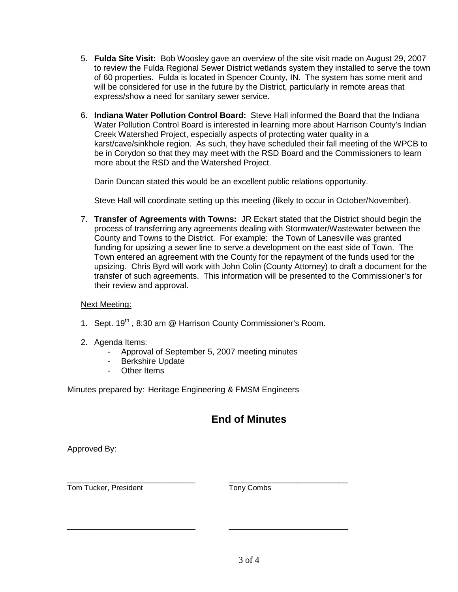- 5. **Fulda Site Visit:** Bob Woosley gave an overview of the site visit made on August 29, 2007 to review the Fulda Regional Sewer District wetlands system they installed to serve the town of 60 properties. Fulda is located in Spencer County, IN. The system has some merit and will be considered for use in the future by the District, particularly in remote areas that express/show a need for sanitary sewer service.
- 6. **Indiana Water Pollution Control Board:** Steve Hall informed the Board that the Indiana Water Pollution Control Board is interested in learning more about Harrison County's Indian Creek Watershed Project, especially aspects of protecting water quality in a karst/cave/sinkhole region. As such, they have scheduled their fall meeting of the WPCB to be in Corydon so that they may meet with the RSD Board and the Commissioners to learn more about the RSD and the Watershed Project.

Darin Duncan stated this would be an excellent public relations opportunity.

Steve Hall will coordinate setting up this meeting (likely to occur in October/November).

7. **Transfer of Agreements with Towns:** JR Eckart stated that the District should begin the process of transferring any agreements dealing with Stormwater/Wastewater between the County and Towns to the District. For example: the Town of Lanesville was granted funding for upsizing a sewer line to serve a development on the east side of Town. The Town entered an agreement with the County for the repayment of the funds used for the upsizing. Chris Byrd will work with John Colin (County Attorney) to draft a document for the transfer of such agreements. This information will be presented to the Commissioner's for their review and approval.

#### Next Meeting:

- 1. Sept. 19<sup>th</sup>, 8:30 am @ Harrison County Commissioner's Room.
- 2. Agenda Items:
	- Approval of September 5, 2007 meeting minutes

\_\_\_\_\_\_\_\_\_\_\_\_\_\_\_\_\_\_\_\_\_\_\_\_\_\_\_\_ \_\_\_\_\_\_\_\_\_\_\_\_\_\_\_\_\_\_\_\_\_\_\_\_\_\_

- Berkshire Update
- Other Items

Minutes prepared by: Heritage Engineering & FMSM Engineers

## **End of Minutes**

Approved By:

Tom Tucker, President Tomy Combs

\_\_\_\_\_\_\_\_\_\_\_\_\_\_\_\_\_\_\_\_\_\_\_\_\_\_\_\_ \_\_\_\_\_\_\_\_\_\_\_\_\_\_\_\_\_\_\_\_\_\_\_\_\_\_